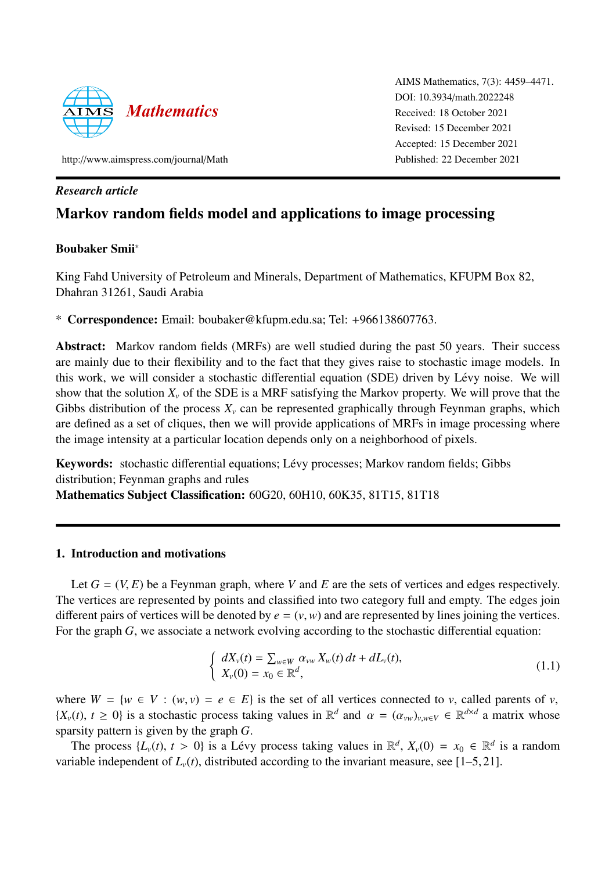

AIMS Mathematics, 7(3): 4459–4471. DOI: 10.3934/[math.2022248](http://dx.doi.org/ 10.3934/math.2022248) Received: 18 October 2021 Revised: 15 December 2021 Accepted: 15 December 2021 Published: 22 December 2021

http://[www.aimspress.com](http://www.aimspress.com/journal/Math)/journal/Math

# *Research article*

# Markov random fields model and applications to image processing

# Boubaker Smii\*

King Fahd University of Petroleum and Minerals, Department of Mathematics, KFUPM Box 82, Dhahran 31261, Saudi Arabia

\* Correspondence: Email: boubaker@kfupm.edu.sa; Tel: +966138607763.

Abstract: Markov random fields (MRFs) are well studied during the past 50 years. Their success are mainly due to their flexibility and to the fact that they gives raise to stochastic image models. In this work, we will consider a stochastic differential equation (SDE) driven by Lévy noise. We will show that the solution  $X_\nu$  of the SDE is a MRF satisfying the Markov property. We will prove that the Gibbs distribution of the process  $X<sub>v</sub>$  can be represented graphically through Feynman graphs, which are defined as a set of cliques, then we will provide applications of MRFs in image processing where the image intensity at a particular location depends only on a neighborhood of pixels.

Keywords: stochastic differential equations; Lévy processes; Markov random fields; Gibbs distribution; Feynman graphs and rules Mathematics Subject Classification: 60G20, 60H10, 60K35, 81T15, 81T18

# 1. Introduction and motivations

Let  $G = (V, E)$  be a Feynman graph, where *V* and *E* are the sets of vertices and edges respectively. The vertices are represented by points and classified into two category full and empty. The edges join different pairs of vertices will be denoted by  $e = (v, w)$  and are represented by lines joining the vertices. For the graph *G*, we associate a network evolving according to the stochastic differential equation:

<span id="page-0-0"></span>
$$
\begin{cases}\n dX_v(t) = \sum_{w \in W} \alpha_{vw} X_w(t) dt + dL_v(t), \\
X_v(0) = x_0 \in \mathbb{R}^d,\n\end{cases}
$$
\n(1.1)

where  $W = \{w \in V : (w, v) = e \in E\}$  is the set of all vertices connected to *v*, called parents of *v*,  $\{X_v(t), t \ge 0\}$  is a stochastic process taking values in  $\mathbb{R}^d$  and  $\alpha = (\alpha_{vw})_{v,w \in V} \in \mathbb{R}^{d \times d}$  a matrix whose sparsity pattern is given by the graph *G*.

The process  $\{L_v(t), t > 0\}$  is a Lévy process taking values in  $\mathbb{R}^d$ ,  $X_v(0) = x_0 \in \mathbb{R}^d$  is a random is the integration of  $I_v(t)$  distributed according to the invariant measure see [1, 5, 21] variable independent of  $L<sub>v</sub>(t)$ , distributed according to the invariant measure, see [\[1–](#page-10-0)[5,](#page-11-0) [21\]](#page-12-0).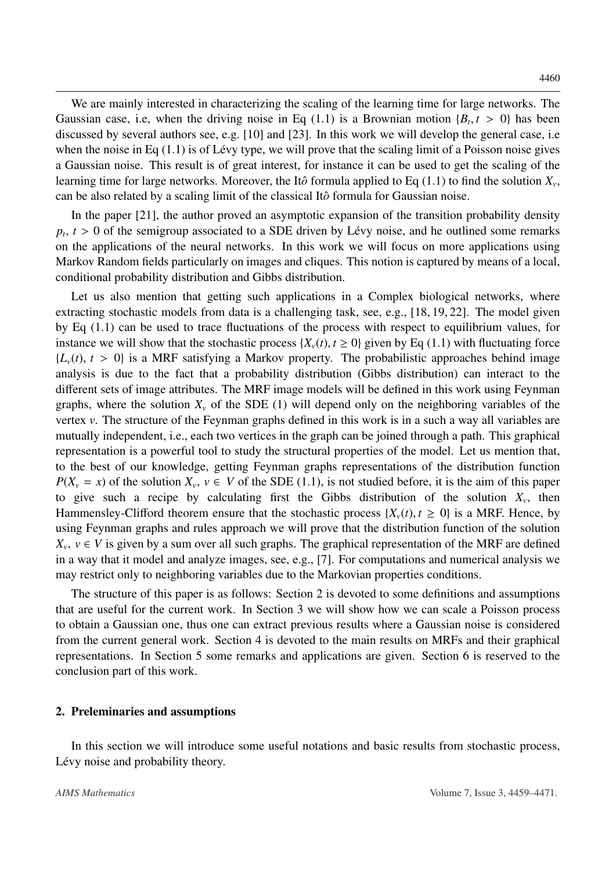We are mainly interested in characterizing the scaling of the learning time for large networks. The Gaussian case, i.e, when the driving noise in Eq [\(1.1\)](#page-0-0) is a Brownian motion  $\{B_t, t > 0\}$  has been<br>discussed by several authors see e.g. [10] and [23]. In this work we will develop the general case i.e. discussed by several authors see, e.g. [\[10\]](#page-11-1) and [\[23\]](#page-12-1). In this work we will develop the general case, i.e when the noise in Eq  $(1.1)$  is of Lévy type, we will prove that the scaling limit of a Poisson noise gives a Gaussian noise. This result is of great interest, for instance it can be used to get the scaling of the learning time for large networks. Moreover, the Itô formula applied to Eq  $(1.1)$  to find the solution  $X_\nu$ , can be also related by a scaling limit of the classical Itô formula for Gaussian noise.

In the paper [\[21\]](#page-12-0), the author proved an asymptotic expansion of the transition probability density  $p_t$ ,  $t > 0$  of the semigroup associated to a SDE driven by Lévy noise, and he outlined some remarks  $p_t$ ,  $t > 0$  of the semigroup associated to a SDE driven by Lévy noise, and he outlined some remarks on the applications of the neural networks. In this work we will focus on more applications using Markov Random fields particularly on images and cliques. This notion is captured by means of a local, conditional probability distribution and Gibbs distribution.

Let us also mention that getting such applications in a Complex biological networks, where extracting stochastic models from data is a challenging task, see, e.g., [\[18,](#page-11-2) [19,](#page-11-3) [22\]](#page-12-2). The model given by Eq [\(1.1\)](#page-0-0) can be used to trace fluctuations of the process with respect to equilibrium values, for instance we will show that the stochastic process  $\{X_v(t), t \ge 0\}$  given by Eq [\(1.1\)](#page-0-0) with fluctuating force  ${L<sub>v</sub>(t), t > 0}$  is a MRF satisfying a Markov property. The probabilistic approaches behind image analysis is due to the fact that a probability distribution (Gibbs distribution) can interact to the different sets of image attributes. The MRF image models will be defined in this work using Feynman graphs, where the solution  $X_\nu$  of the SDE (1) will depend only on the neighboring variables of the vertex *v*. The structure of the Feynman graphs defined in this work is in a such a way all variables are mutually independent, i.e., each two vertices in the graph can be joined through a path. This graphical representation is a powerful tool to study the structural properties of the model. Let us mention that, to the best of our knowledge, getting Feynman graphs representations of the distribution function  $P(X_v = x)$  of the solution  $X_v$ ,  $v \in V$  of the SDE [\(1.1\)](#page-0-0), is not studied before, it is the aim of this paper<br>to give such a recipe by calculating first the Gibbs distribution of the solution *Y* then to give such a recipe by calculating first the Gibbs distribution of the solution  $X_v$ , then<br>Hammensley-Clifford theorem ensure that the stochastic process  $(X(t), t > 0)$  is a MRF Hence by Hammensley-Clifford theorem ensure that the stochastic process  $\{X_v(t), t \ge 0\}$  is a MRF. Hence, by using Feynman graphs and rules approach we will prove that the distribution function of the solution  $X_v$ ,  $v \in V$  is given by a sum over all such graphs. The graphical representation of the MRF are defined<br>in a way that it model and analyze images, see, e.g.  $\frac{1}{2}$ . For computations and numerical analysis we in a way that it model and analyze images, see, e.g., [\[7\]](#page-11-4). For computations and numerical analysis we may restrict only to neighboring variables due to the Markovian properties conditions.

The structure of this paper is as follows: Section 2 is devoted to some definitions and assumptions that are useful for the current work. In Section 3 we will show how we can scale a Poisson process to obtain a Gaussian one, thus one can extract previous results where a Gaussian noise is considered from the current general work. Section 4 is devoted to the main results on MRFs and their graphical representations. In Section 5 some remarks and applications are given. Section 6 is reserved to the conclusion part of this work.

### 2. Preleminaries and assumptions

In this section we will introduce some useful notations and basic results from stochastic process, Lévy noise and probability theory.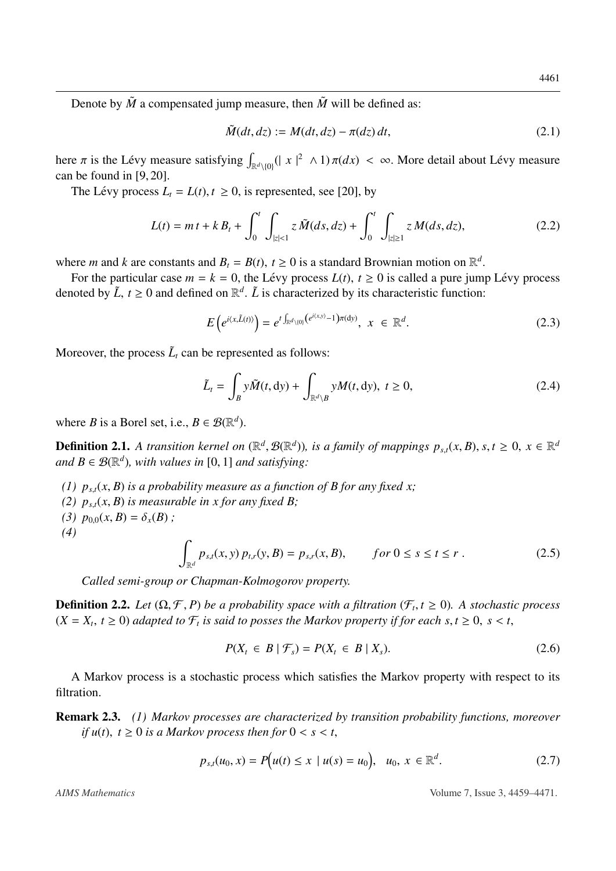Denote by  $\tilde{M}$  a compensated jump measure, then  $\tilde{M}$  will be defined as:

$$
\tilde{M}(dt, dz) := M(dt, dz) - \pi(dz) dt,
$$
\n(2.1)

here  $\pi$  is the Lévy measure satisfying  $\int_{\mathbb{R}^d \setminus \{0\}} (|x|^2 \wedge 1) \pi(dx) < \infty$ . More detail about Lévy measure can be found in [9, 20] can be found in [\[9,](#page-11-5) [20\]](#page-11-6).

The Lévy process  $L_t = L(t)$ ,  $t \ge 0$ , is represented, see [\[20\]](#page-11-6), by

$$
L(t) = m t + k B_t + \int_0^t \int_{|z| < 1} z \, \tilde{M}(ds, dz) + \int_0^t \int_{|z| \ge 1} z \, M(ds, dz),\tag{2.2}
$$

where *m* and *k* are constants and  $B_t = B(t)$ ,  $t \ge 0$  is a standard Brownian motion on  $\mathbb{R}^d$ <br>For the particular case  $m - k = 0$ , the Lévy process  $I(t)$ ,  $t > 0$  is called a pure jun-

For the particular case  $m = k = 0$ , the Lévy process  $L(t)$ ,  $t \ge 0$  is called a pure jump Lévy process noted by  $\tilde{L}$   $t > 0$  and defined on  $\mathbb{R}^d$ .  $\tilde{L}$  is characterized by its characteristic function: denoted by  $\tilde{L}$ ,  $t \ge 0$  and defined on  $\mathbb{R}^d$ .  $\tilde{L}$  is characterized by its characteristic function:

$$
E\left(e^{i\langle x,\tilde{L}(t)\rangle}\right)=e^{t\int_{\mathbb{R}^d\setminus\{0\}}\left(e^{i\langle x,y\rangle}-1\right)\pi\left(\mathrm{d}y\right)},\ x\in\mathbb{R}^d.
$$
\n(2.3)

Moreover, the process  $\tilde{L}_t$  can be represented as follows:

$$
\tilde{L}_t = \int_B y \tilde{M}(t, dy) + \int_{\mathbb{R}^d \setminus B} y M(t, dy), \ t \ge 0,
$$
\n(2.4)

where *B* is a Borel set, i.e.,  $B \in \mathcal{B}(\mathbb{R}^d)$ .

**Definition 2.1.** A transition kernel on  $(\mathbb{R}^d, \mathcal{B}(\mathbb{R}^d))$ , is a family of mappings  $p_{s,t}(x, B)$ ,  $s, t \ge 0$ ,  $x \in \mathbb{R}^d$ <br>and  $B \subseteq \mathcal{B}(\mathbb{R}^d)$ , with values in [0, 1] and satisfying: and  $B \in \mathcal{B}(\mathbb{R}^d)$ , with values in [0, 1] and satisfying:

- *(1)*  $p_{s,t}(x, B)$  *is a probability measure as a function of B for any fixed x;*
- *(2)*  $p_{s,t}(x, B)$  *is measurable in x for any fixed B;*
- (3)  $p_{0,0}(x, B) = \delta_x(B)$ ;
- *(4)*

$$
\int_{\mathbb{R}^d} p_{s,t}(x, y) \, p_{t,r}(y, B) = p_{s,r}(x, B), \qquad \text{for } 0 \le s \le t \le r . \tag{2.5}
$$

*Called semi-group or Chapman-Kolmogorov property.*

**Definition 2.2.** *Let*  $(\Omega, \mathcal{F}, P)$  *be a probability space with a filtration*  $(\mathcal{F}_t, t \ge 0)$ *. A stochastic process*  $(Y - Y, t > 0)$  adapted to  $\mathcal{F}_t$  is said to posses the Markov property if for each  $s, t > 0$ ,  $s < t$  $(X = X_t, t \ge 0)$  *adapted to*  $\mathcal{F}_t$  *is said to posses the Markov property if for each s, t*  $\ge 0$ , *s* < *t*,

$$
P(X_t \in B \mid \mathcal{F}_s) = P(X_t \in B \mid X_s). \tag{2.6}
$$

A Markov process is a stochastic process which satisfies the Markov property with respect to its filtration.

Remark 2.3. *(1) Markov processes are characterized by transition probability functions, moreover if*  $u(t)$ ,  $t \geq 0$  *is a Markov process then for*  $0 < s < t$ ,

$$
p_{s,t}(u_0, x) = P(u(t) \le x \mid u(s) = u_0), \ \ u_0, \ x \in \mathbb{R}^d. \tag{2.7}
$$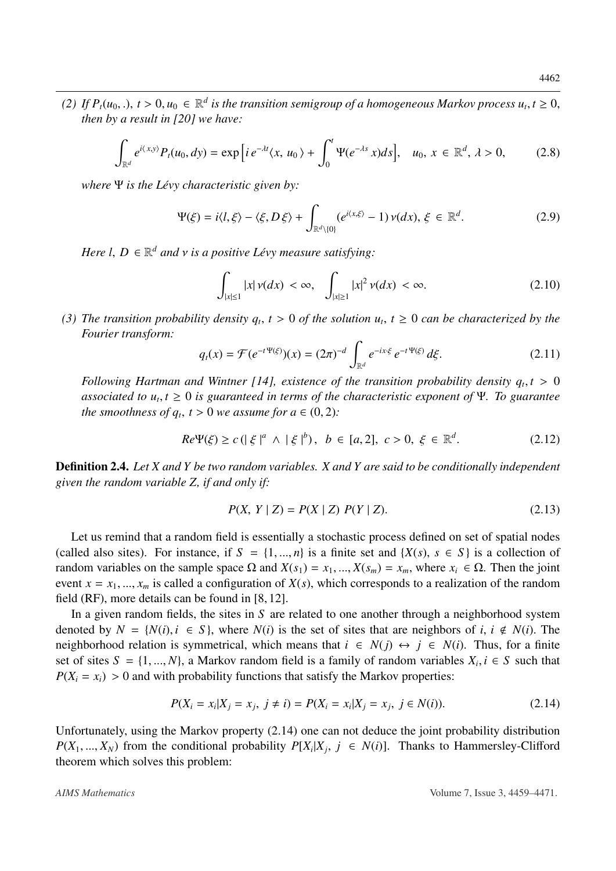*(2) If*  $P_t(u_0,.)$ ,  $t > 0$ ,  $u_0 \in \mathbb{R}^d$  is the transition semigroup of a homogeneous Markov process  $u_t, t \ge 0$ , then by a result in [20] we have: *then by a result in [\[20\]](#page-11-6) we have:*

$$
\int_{\mathbb{R}^d} e^{i\langle x,y\rangle} P_t(u_0,dy) = \exp\left[i e^{-\lambda t} \langle x, u_0 \rangle + \int_0^t \Psi(e^{-\lambda s} x) ds\right], \quad u_0, x \in \mathbb{R}^d, \quad \lambda > 0,
$$
\n(2.8)

*where* Ψ *is the Lévy characteristic given by:* 

<span id="page-3-1"></span>
$$
\Psi(\xi) = i \langle l, \xi \rangle - \langle \xi, D \xi \rangle + \int_{\mathbb{R}^d \setminus \{0\}} (e^{i \langle x, \xi \rangle} - 1) \nu(dx), \xi \in \mathbb{R}^d.
$$
 (2.9)

*Here l,*  $D \in \mathbb{R}^d$  *and*  $\nu$  *is a positive Lévy measure satisfying:* 

$$
\int_{|x| \le 1} |x| \nu(dx) < \infty, \quad \int_{|x| \ge 1} |x|^2 \nu(dx) < \infty. \tag{2.10}
$$

*(3) The transition probability density*  $q_t$ ,  $t > 0$  *of the solution*  $u_t$ ,  $t \ge 0$  *can be characterized by the*<br>Fourier transform: *Fourier transform:*

$$
q_t(x) = \mathcal{F}(e^{-t \Psi(\xi)})(x) = (2\pi)^{-d} \int_{\mathbb{R}^d} e^{-ix\cdot\xi} e^{-t \Psi(\xi)} d\xi.
$$
 (2.11)

*Following Hartman and Wintner [\[14\]](#page-11-7), existence of the transition probability density*  $q_t, t > 0$ *<br>associated to*  $u, t > 0$  *is quaranteed in terms of the characteristic exponent of*  $\Psi$ *. To quarantee associated to*  $u_t, t \geq 0$  *is guaranteed in terms of the characteristic exponent of* Ψ*. To guarantee*<br>the smoothness of  $a, t > 0$  we assume for  $a \in (0, 2)$ . *the smoothness of*  $q_t$ *,*  $t > 0$  *we assume for*  $a \in (0, 2)$ *:* 

$$
Re\Psi(\xi) \ge c \left( \left| \xi \right|^{a} \wedge \left| \xi \right|^{b} \right), \ b \in [a, 2], \ c > 0, \ \xi \in \mathbb{R}^{d}.
$$
 (2.12)

Definition 2.4. *Let X and Y be two random variables. X and Y are said to be conditionally independent given the random variable Z, if and only if:*

$$
P(X, Y | Z) = P(X | Z) P(Y | Z).
$$
\n(2.13)

Let us remind that a random field is essentially a stochastic process defined on set of spatial nodes (called also sites). For instance, if  $S = \{1, ..., n\}$  is a finite set and  $\{X(s), s \in S\}$  is a collection of random variables on the sample space Ω and  $X(s_1) = x_1, ..., X(s_m) = x_m$ , where  $x_i \in \Omega$ . Then the joint event  $x = x_1, ..., x_m$  is called a configuration of  $X(s)$ , which corresponds to a realization of the random field (RF), more details can be found in [\[8,](#page-11-8) [12\]](#page-11-9).

In a given random fields, the sites in *S* are related to one another through a neighborhood system denoted by  $N = \{N(i), i \in S\}$ , where  $N(i)$  is the set of sites that are neighbors of *i*,  $i \notin N(i)$ . The neighborhood relation is symmetrical, which means that  $i \in N(j) \leftrightarrow j \in N(i)$ . Thus, for a finite set of sites  $S = \{1, ..., N\}$ , a Markov random field is a family of random variables  $X_i, i \in S$  such that  $P(Y_i = x_i) > 0$  and with probability functions that satisfy the Markov properties:  $P(X_i = x_i) > 0$  and with probability functions that satisfy the Markov properties:

<span id="page-3-0"></span>
$$
P(X_i = x_i | X_j = x_j, j \neq i) = P(X_i = x_i | X_j = x_j, j \in N(i)).
$$
\n(2.14)

Unfortunately, using the Markov property [\(2.14\)](#page-3-0) one can not deduce the joint probability distribution  $P(X_1, ..., X_N)$  from the conditional probability  $P[X_i|X_j, j \in N(i)]$ . Thanks to Hammersley-Clifford theorem which solves this problem: theorem which solves this problem: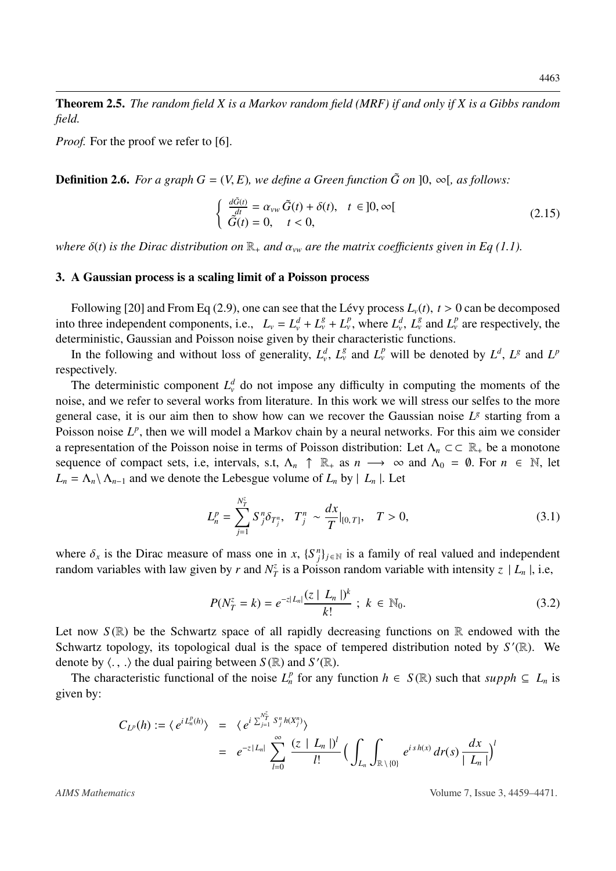Theorem 2.5. *The random field X is a Markov random field (MRF) if and only if X is a Gibbs random field.*

*Proof.* For the proof we refer to [\[6\]](#page-11-10).

**Definition 2.6.** *For a graph*  $G = (V, E)$ *, we define a Green function*  $\tilde{G}$  *on*  $]0, \infty[$ *, as follows:* 

<span id="page-4-0"></span>
$$
\begin{cases}\n\frac{d\tilde{G}(t)}{dt} = \alpha_{vw}\,\tilde{G}(t) + \delta(t), & t \in ]0, \infty[\n\tilde{G}(t) = 0, \quad t < 0,\n\end{cases} \tag{2.15}
$$

*where*  $\delta(t)$  *is the Dirac distribution on*  $\mathbb{R}_+$  *and*  $\alpha_{vw}$  *are the matrix coefficients given in Eq [\(1.1\)](#page-0-0).* 

#### 3. A Gaussian process is a scaling limit of a Poisson process

Following [\[20\]](#page-11-6) and From Eq [\(2.9\)](#page-3-1), one can see that the Lévy process  $L<sub>v</sub>(t)$ ,  $t > 0$  can be decomposed into three independent components, i.e.,  $L_v = L_v^d + L_v^g + L_v^p$ , where  $L_v^d$ ,  $L_v^g$  and  $L_v^p$  are respectively, the deterministic Gaussian and Poisson poise given by their characteristic functions deterministic, Gaussian and Poisson noise given by their characteristic functions.

In the following and without loss of generality,  $L_v^d$ ,  $L_v^g$  and  $L_v^p$  will be denoted by  $L^d$ ,  $L^g$  and  $L^p$ respectively.

The deterministic component  $L^d$  do not impose any difficulty in computing the moments of the noise, and we refer to several works from literature. In this work we will stress our selfes to the more general case, it is our aim then to show how can we recover the Gaussian noise  $L^g$  starting from a Poisson noise L<sup>p</sup>, then we will model a Markov chain by a neural networks. For this aim we consider a representation of the Poisson noise in terms of Poisson distribution: Let  $\Lambda_n \subset \subset \mathbb{R}_+$  be a monotone sequence of compact sets, i.e, intervals, s.t,  $\Lambda_n$  ↑  $\mathbb{R}_+$  as  $n \to \infty$  and  $\Lambda_0 = \emptyset$ . For  $n \in \mathbb{N}$ , let  $L_n = \Lambda_n \setminus \Lambda_{n-1}$  and we denote the Lebesgue volume of  $L_n$  by  $|L_n|$ . Let

$$
L_n^p = \sum_{j=1}^{N_T^z} S_j^n \delta_{T_j^n}, \quad T_j^n \sim \frac{dx}{T}|_{[0,T]}, \quad T > 0,\tag{3.1}
$$

where  $\delta_x$  is the Dirac measure of mass one in *x*,  $\{S_j^n\}_{j \in \mathbb{N}}$  is a family of real valued and independent random variables with law given by *r* and  $N^z$  is a Poisson random variable with intensity  $z \downarrow I + i e$ random variables with law given by *r* and  $N_7^2$  $\frac{z}{T}$  is a Poisson random variable with intensity  $z \mid L_n$ , i.e,

$$
P(N_T^z = k) = e^{-z|L_n|} \frac{(z | L_n|)^k}{k!} \; ; \; k \in \mathbb{N}_0. \tag{3.2}
$$

Let now  $S(\mathbb{R})$  be the Schwartz space of all rapidly decreasing functions on  $\mathbb{R}$  endowed with the Schwartz topology, its topological dual is the space of tempered distribution noted by  $S'(\mathbb{R})$ . We denote by  $\langle ., . \rangle$  the dual pairing between  $S(\mathbb{R})$  and  $S'(\mathbb{R})$ .<br>The characteristic functional of the poise  $I^p$  for any i

The characteristic functional of the noise  $L_n^p$  for any function  $h \in S(\mathbb{R})$  such that  $supph \subseteq L_n$  is given by:

$$
C_{L^p}(h) := \langle e^{i L_n^p(h)} \rangle = \langle e^{i \sum_{j=1}^{N_T^z} S_j^n h(X_j^n)} \rangle
$$
  
=  $e^{-z|L_n|} \sum_{l=0}^{\infty} \frac{(z | L_n|)^l}{l!} \Big( \int_{L_n} \int_{\mathbb{R} \setminus \{0\}} e^{i sh(x)} dr(s) \frac{dx}{|L_n|} \Big)^l$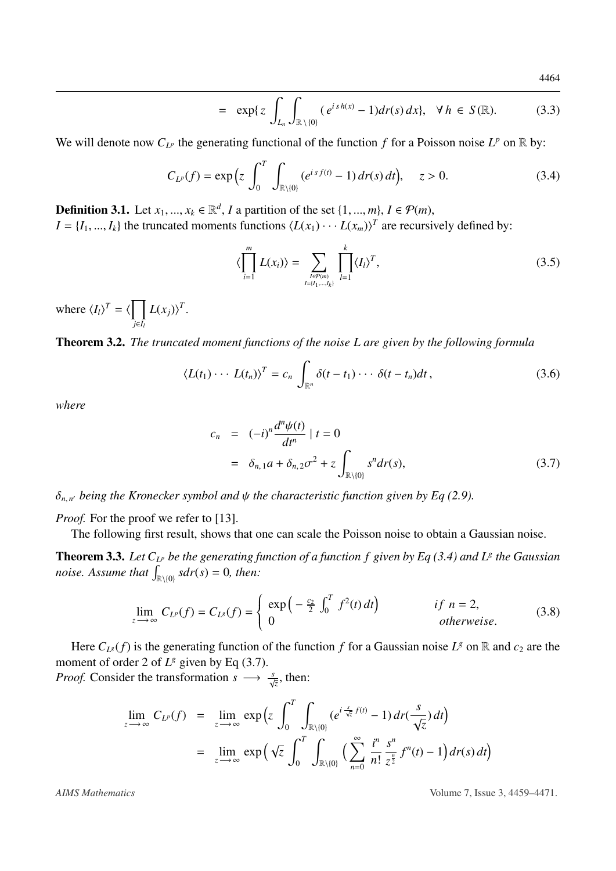$$
= \exp\{z \int_{L_n} \int_{\mathbb{R}\setminus\{0\}} (e^{i\,sh(x)} - 1) dr(s)\,dx\}, \quad \forall \, h \in S(\mathbb{R}). \tag{3.3}
$$

We will denote now  $C_{L^p}$  the generating functional of the function f for a Poisson noise  $L^p$  on  $\mathbb R$  by:

<span id="page-5-0"></span>
$$
C_{L^{p}}(f) = \exp\left(z \int_{0}^{T} \int_{\mathbb{R}\setminus\{0\}} (e^{is f(t)} - 1) \, dr(s) \, dt\right), \quad z > 0. \tag{3.4}
$$

**Definition 3.1.** Let  $x_1, ..., x_k \in \mathbb{R}^d$ , *I* a partition of the set  $\{1, ..., m\}$ ,  $I \in \mathcal{P}(m)$ ,  $I = \{I, ..., L\}$  the truncated moments functions  $\{I(x_1), ..., I(x_n)\}$  are recursi- $I = \{I_1, ..., I_k\}$  the truncated moments functions  $\langle L(x_1) \cdots L(x_m) \rangle^T$  are recursively defined by:

$$
\langle \prod_{i=1}^{m} L(x_i) \rangle = \sum_{\substack{l \in \mathcal{P}(m) \\ l = \{l_1, \dots, l_k\}}} \prod_{l=1}^{k} \langle I_l \rangle^T,
$$
\n(3.5)

where  $\langle I_l \rangle^T = \langle \prod$ *j*∈*I<sup>l</sup>*  $L(x_j)$ <sup>T</sup>.

Theorem 3.2. *The truncated moment functions of the noise L are given by the following formula*

$$
\langle L(t_1)\cdots L(t_n)\rangle^T = c_n \int_{\mathbb{R}^n} \delta(t-t_1)\cdots \delta(t-t_n)dt, \qquad (3.6)
$$

*where*

<span id="page-5-1"></span>
$$
c_n = (-i)^n \frac{d^n \psi(t)}{dt^n} | t = 0
$$
  
=  $\delta_{n,1} a + \delta_{n,2} \sigma^2 + z \int_{\mathbb{R}\setminus\{0\}} s^n dr(s),$  (3.7)

 $\delta_{n,n'}$  being the Kronecker symbol and  $\psi$  the characteristic function given by Eq [\(2.9\)](#page-3-1).

*Proof.* For the proof we refer to [\[13\]](#page-11-11).

The following first result, shows that one can scale the Poisson noise to obtain a Gaussian noise.

<span id="page-5-2"></span>**Theorem 3.3.** Let  $C_{L^p}$  be the generating function of a function f given by Eq [\(3.4\)](#page-5-0) and L<sup>g</sup> the Gaussian *noise. Assume that*  $\int_{\mathbb{R}\setminus\{0\}} s dr(s) = 0$ *, then:* 

$$
\lim_{z \to \infty} C_{L^p}(f) = C_{L^g}(f) = \begin{cases} \exp\left(-\frac{c_2}{2} \int_0^T f^2(t) dt\right) & \text{if } n = 2, \\ 0 & \text{otherwise.} \end{cases}
$$
(3.8)

Here  $C_{L^g}(f)$  is the generating function of the function f for a Gaussian noise  $L^g$  on R and  $c_2$  are the moment of order 2 of  $L^g$  given by Eq [\(3.7\)](#page-5-1).

*Proof.* Consider the transformation  $s \rightarrow \frac{s}{\sqrt{z}}$ , then:

$$
\lim_{z \to \infty} C_{L^p}(f) = \lim_{z \to \infty} \exp\left(z \int_0^T \int_{\mathbb{R}\setminus\{0\}} (e^{i\frac{s}{\sqrt{z}}f(t)} - 1) dr(\frac{s}{\sqrt{z}}) dt\right)
$$

$$
= \lim_{z \to \infty} \exp\left(\sqrt{z} \int_0^T \int_{\mathbb{R}\setminus\{0\}} \left(\sum_{n=0}^\infty \frac{i^n}{n!} \frac{s^n}{z^{\frac{n}{2}}} f^n(t) - 1\right) dr(s) dt\right)
$$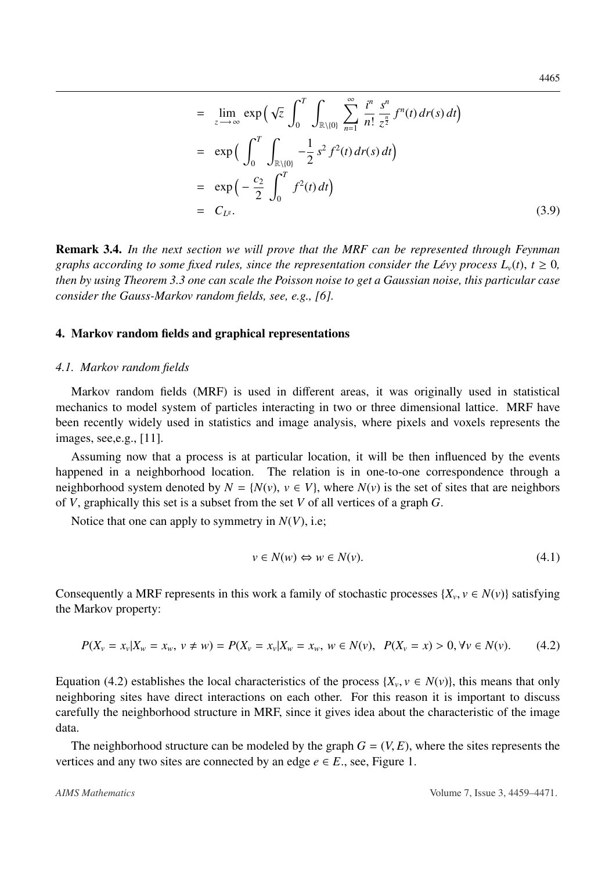$$
= \lim_{z \to \infty} \exp\left(\sqrt{z} \int_0^T \int_{\mathbb{R}\setminus\{0\}} \sum_{n=1}^\infty \frac{i^n}{n!} \frac{s^n}{z^n} f^n(t) dr(s) dt\right)
$$
  
\n
$$
= \exp\left(\int_0^T \int_{\mathbb{R}\setminus\{0\}} -\frac{1}{2} s^2 f^2(t) dr(s) dt\right)
$$
  
\n
$$
= \exp\left(-\frac{c_2}{2} \int_0^T f^2(t) dt\right)
$$
  
\n
$$
= C_{L^g}.
$$
 (3.9)

Remark 3.4. *In the next section we will prove that the MRF can be represented through Feynman graphs according to some fixed rules, since the representation consider the Lévy process*  $L_v(t)$ *,*  $t \geq 0$ *, then by using Theorem [3.3](#page-5-2) one can scale the Poisson noise to get a Gaussian noise, this particular case consider the Gauss-Markov random fields, see, e.g., [\[6\]](#page-11-10).*

# 4. Markov random fields and graphical representations

#### *4.1. Markov random fields*

Markov random fields (MRF) is used in different areas, it was originally used in statistical mechanics to model system of particles interacting in two or three dimensional lattice. MRF have been recently widely used in statistics and image analysis, where pixels and voxels represents the images, see,e.g., [\[11\]](#page-11-12).

Assuming now that a process is at particular location, it will be then influenced by the events happened in a neighborhood location. The relation is in one-to-one correspondence through a neighborhood system denoted by  $N = \{N(v), v \in V\}$ , where  $N(v)$  is the set of sites that are neighbors of *V*, graphically this set is a subset from the set *V* of all vertices of a graph *G*.

Notice that one can apply to symmetry in *<sup>N</sup>*(*V*), i.e;

$$
v \in N(w) \Leftrightarrow w \in N(v). \tag{4.1}
$$

Consequently a MRF represents in this work a family of stochastic processes  $\{X_v, v \in N(v)\}$  satisfying the Markov property: the Markov property:

<span id="page-6-0"></span>
$$
P(X_v = x_v | X_w = x_w, v \neq w) = P(X_v = x_v | X_w = x_w, w \in N(v), \ P(X_v = x) > 0, \forall v \in N(v). \tag{4.2}
$$

Equation [\(4.2\)](#page-6-0) establishes the local characteristics of the process  $\{X_v, v \in N(v)\}$ , this means that only neighboring sites have direct interactions on each other. For this reason it is important to discuss neighboring sites have direct interactions on each other. For this reason it is important to discuss carefully the neighborhood structure in MRF, since it gives idea about the characteristic of the image data.

The neighborhood structure can be modeled by the graph  $G = (V, E)$ , where the sites represents the vertices and any two sites are connected by an edge  $e \in E$ , see, Figure 1.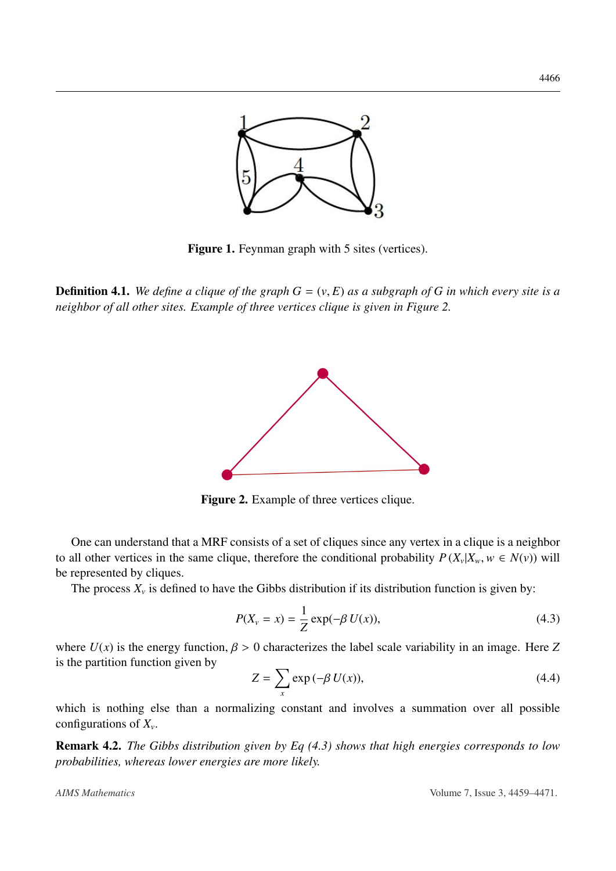

Figure 1. Feynman graph with 5 sites (vertices).

**Definition 4.1.** We define a clique of the graph  $G = (v, E)$  as a subgraph of G in which every site is a *neighbor of all other sites. Example of three vertices clique is given in Figure 2.*



Figure 2. Example of three vertices clique.

One can understand that a MRF consists of a set of cliques since any vertex in a clique is a neighbor to all other vertices in the same clique, therefore the conditional probability  $P(X_v|X_w, w \in N(v))$  will<br>be represented by cliques be represented by cliques.

The process  $X_\nu$  is defined to have the Gibbs distribution if its distribution function is given by:

<span id="page-7-0"></span>
$$
P(X_v = x) = \frac{1}{Z} \exp(-\beta U(x)),
$$
\n(4.3)

where  $U(x)$  is the energy function,  $\beta > 0$  characterizes the label scale variability in an image. Here Z is the partition function given by

$$
Z = \sum_{x} \exp(-\beta U(x)),\tag{4.4}
$$

which is nothing else than a normalizing constant and involves a summation over all possible configurations of *X<sup>v</sup>* .

Remark 4.2. *The Gibbs distribution given by Eq [\(4.3\)](#page-7-0) shows that high energies corresponds to low probabilities, whereas lower energies are more likely.*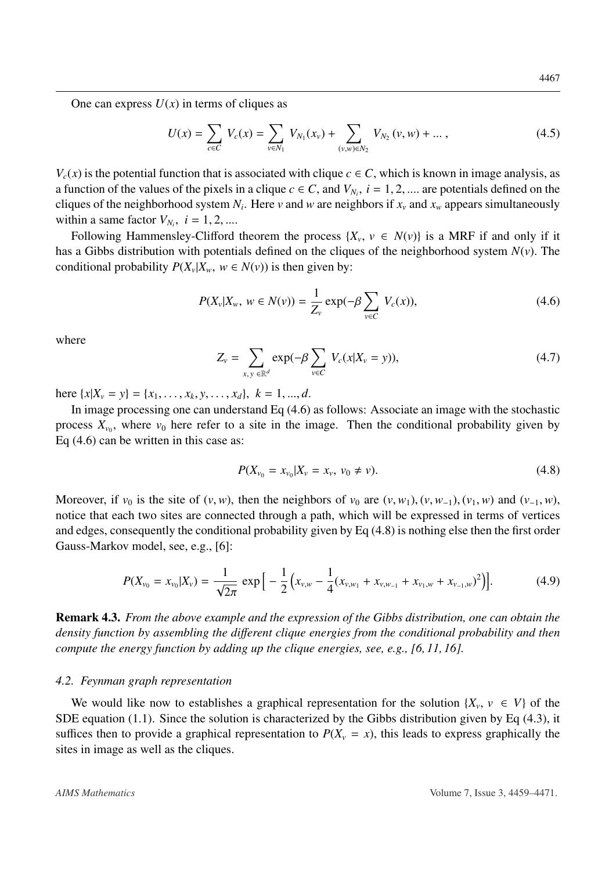One can express  $U(x)$  in terms of cliques as

$$
U(x) = \sum_{c \in C} V_c(x) = \sum_{v \in N_1} V_{N_1}(x_v) + \sum_{(v,w) \in N_2} V_{N_2}(v,w) + \dots, \qquad (4.5)
$$

 $V_c(x)$  is the potential function that is associated with clique  $c \in C$ , which is known in image analysis, as a function of the values of the pixels in a clique  $c \in C$ , and  $V_{N_i}$ ,  $i = 1, 2, ...$  are potentials defined on the cliques of the neighborhood system  $N_i$ . Here *y* and *w* are neighbors if *x* and *x* appears simultaneous cliques of the neighborhood system  $N_i$ . Here  $\nu$  and  $w$  are neighbors if  $x_\nu$  and  $x_w$  appears simultaneously within a same factor  $V_{N_i}$ ,  $i = 1, 2, ...$ <br>Following Hammanslay Clifford

Following Hammensley-Clifford theorem the process  $\{X_v, v \in N(v)\}$  is a MRF if and only if it has a Gibbs distribution with potentials defined on the cliques of the neighborhood system *<sup>N</sup>*(*v*). The conditional probability  $P(X_v | X_w, w \in N(v))$  is then given by:

<span id="page-8-0"></span>
$$
P(X_{\nu}|X_{\nu}, w \in N(\nu)) = \frac{1}{Z_{\nu}} \exp(-\beta \sum_{\nu \in C} V_c(x)),
$$
\n(4.6)

where

$$
Z_{\nu} = \sum_{x,y \in \mathbb{R}^d} \exp(-\beta \sum_{\nu \in C} V_c(x|X_{\nu} = y)), \qquad (4.7)
$$

here  $\{x|X_v = y\} = \{x_1, \ldots, x_k, y, \ldots, x_d\}, k = 1, \ldots, d.$ <br>In image processing one can understand Eq. (4.6)

In image processing one can understand Eq [\(4.6\)](#page-8-0) as follows: Associate an image with the stochastic process  $X_{\nu_0}$ , where  $\nu_0$  here refer to a site in the image. Then the conditional probability given by Eq [\(4.6\)](#page-8-0) can be written in this case as:

<span id="page-8-1"></span>
$$
P(X_{\nu_0} = x_{\nu_0}|X_{\nu} = x_{\nu}, \nu_0 \neq \nu). \tag{4.8}
$$

Moreover, if  $v_0$  is the site of  $(v, w)$ , then the neighbors of  $v_0$  are  $(v, w_1)$ ,  $(v, w_{-1})$ ,  $(v_1, w)$  and  $(v_{-1}, w)$ , notice that each two sites are connected through a path, which will be expressed in terms of vertices and edges, consequently the conditional probability given by Eq [\(4.8\)](#page-8-1) is nothing else then the first order Gauss-Markov model, see, e.g., [\[6\]](#page-11-10):

<span id="page-8-2"></span>
$$
P(X_{\nu_0} = x_{\nu_0}|X_{\nu}) = \frac{1}{\sqrt{2\pi}} \exp\Big[-\frac{1}{2}\Big(x_{\nu,w} - \frac{1}{4}(x_{\nu,w_1} + x_{\nu,w_{-1}} + x_{\nu_1,w} + x_{\nu_{-1},w})^2\Big)\Big].
$$
 (4.9)

Remark 4.3. *From the above example and the expression of the Gibbs distribution, one can obtain the density function by assembling the di*ff*erent clique energies from the conditional probability and then compute the energy function by adding up the clique energies, see, e.g., [\[6,](#page-11-10) [11,](#page-11-12) [16\]](#page-11-13).*

#### *4.2. Feynman graph representation*

We would like now to establishes a graphical representation for the solution  $\{X_v, v \in V\}$  of the  $F$  equation (1.1). Since the solution is characterized by the Gibbs distribution given by Eq. (4.3) it SDE equation [\(1.1\)](#page-0-0). Since the solution is characterized by the Gibbs distribution given by Eq [\(4.3\)](#page-7-0), it suffices then to provide a graphical representation to  $P(X_v = x)$ , this leads to express graphically the sites in image as well as the cliques.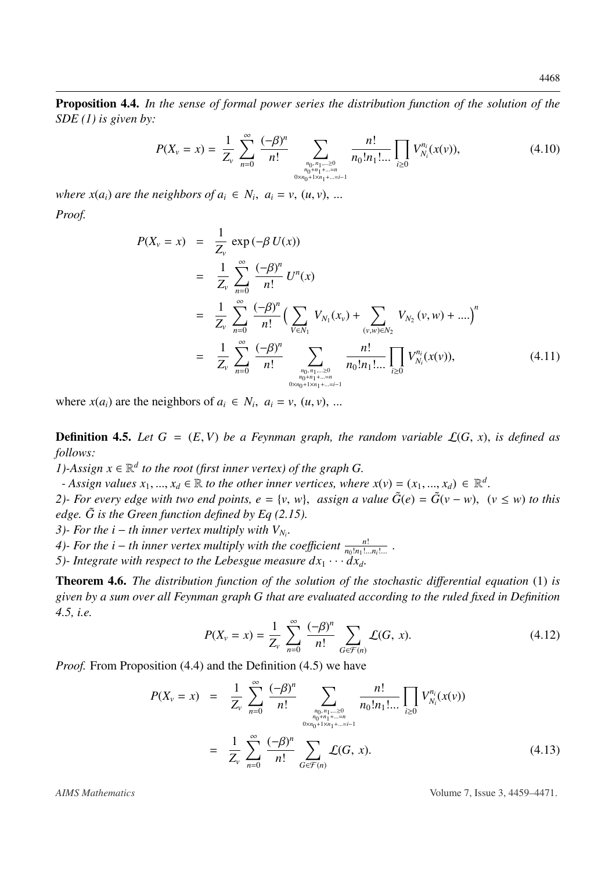<span id="page-9-1"></span>Proposition 4.4. *In the sense of formal power series the distribution function of the solution of the SDE (1) is given by:*

$$
P(X_{\nu}=x)=\frac{1}{Z_{\nu}}\sum_{n=0}^{\infty}\frac{(-\beta)^n}{n!}\sum_{\substack{n_0,n_1,\dots\geq 0\\n_0+n_1+\dots=n\\0\times n_0+1\times n_1+\dots=i-1}}\frac{n!}{n_0!n_1!\dots}\prod_{i\geq 0}V_{N_i}^{n_i}(x(\nu)),\qquad(4.10)
$$

*where*  $x(a_i)$  *are the neighbors of*  $a_i \in N_i$ ,  $a_i = v$ ,  $(u, v)$ , ... *Proof.*

$$
P(X_{\nu} = x) = \frac{1}{Z_{\nu}} \exp(-\beta U(x))
$$
  
\n
$$
= \frac{1}{Z_{\nu}} \sum_{n=0}^{\infty} \frac{(-\beta)^n}{n!} U^n(x)
$$
  
\n
$$
= \frac{1}{Z_{\nu}} \sum_{n=0}^{\infty} \frac{(-\beta)^n}{n!} \Big( \sum_{V \in N_1} V_{N_1}(x_{\nu}) + \sum_{(\nu,w) \in N_2} V_{N_2}(\nu, w) + .... \Big)^n
$$
  
\n
$$
= \frac{1}{Z_{\nu}} \sum_{n=0}^{\infty} \frac{(-\beta)^n}{n!} \sum_{\substack{n_0, n_1, \dots \ge 0 \\ n_0 + n_1 + .... = n \\ n_0 + n_1 + .... = n}} \frac{n!}{n_0! n_1! ...} \prod_{i \ge 0} V_{N_i}^{n_i}(x(\nu)), \tag{4.11}
$$

where  $x(a_i)$  are the neighbors of  $a_i \in N_i$ ,  $a_i = v$ ,  $(u, v)$ , ...

<span id="page-9-0"></span>**Definition 4.5.** Let  $G = (E, V)$  be a Feynman graph, the random variable  $\mathcal{L}(G, x)$ , is defined as *follows:*

*1*)-Assign  $x \in \mathbb{R}^d$  to the root (first inner vertex) of the graph G.

*- Assign values*  $x_1, ..., x_d \in \mathbb{R}$  *to the other inner vertices, where*  $x(v) = (x_1, ..., x_d) \in \mathbb{R}^d$ <br>*b. For every edge with two end points*  $e = \{v, w\}$  assign a value  $\tilde{G}(e) = \tilde{G}(v - w)$ 

2)- For every edge with two end points,  $e = \{v, w\}$ , assign a value  $\tilde{G}(e) = \tilde{G}(v - w)$ ,  $(v \le w)$  to this edge.  $\tilde{G}$  is the Green function defined by Eq.(2.15). *edge.*  $\tilde{G}$  *is the Green function defined by Eq ([2.15\)](#page-4-0).* 

*3*)- For the  $i - th$  inner vertex multiply with  $V_{N_i}$ .

*4*)- For the *i* − *th* inner vertex multiply with the coefficient  $\frac{n!}{n_0!n_1!}$  $\frac{n!}{n_0!n_1!...n_i!...}$ .

*5*)- Integrate with respect to the Lebesgue measure  $dx_1 \cdots dx_d$ .

Theorem 4.6. *The distribution function of the solution of the stochastic di*ff*erential equation* (1) *is given by a sum over all Feynman graph G that are evaluated according to the ruled fixed in Definition [4.5,](#page-9-0) i.e.*

$$
P(X_{\nu} = x) = \frac{1}{Z_{\nu}} \sum_{n=0}^{\infty} \frac{(-\beta)^n}{n!} \sum_{G \in \mathcal{F}(n)} \mathcal{L}(G, x). \tag{4.12}
$$

*Proof.* From Proposition [\(4.4\)](#page-9-1) and the Definition [\(4.5\)](#page-9-0) we have

$$
P(X_v = x) = \frac{1}{Z_v} \sum_{n=0}^{\infty} \frac{(-\beta)^n}{n!} \sum_{\substack{n_0, n_1, \dots, n_{0} \\ n_0 + n_1 + \dots = n_{0} \\ 0 \times n_0 + 1 \times n_1 + \dots = i-1}} \frac{n!}{n_0! n_1! \dots! \prod_{i \ge 0} V_{N_i}^{n_i}(x(v))
$$
  

$$
= \frac{1}{Z_v} \sum_{n=0}^{\infty} \frac{(-\beta)^n}{n!} \sum_{G \in \mathcal{F}(n)} \mathcal{L}(G, x).
$$
 (4.13)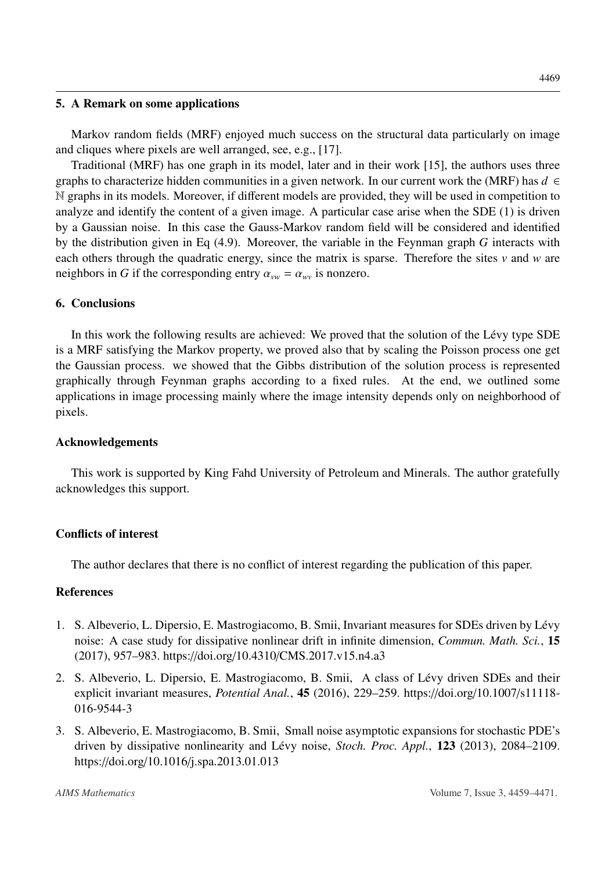#### 5. A Remark on some applications

Markov random fields (MRF) enjoyed much success on the structural data particularly on image and cliques where pixels are well arranged, see, e.g., [\[17\]](#page-11-14).

Traditional (MRF) has one graph in its model, later and in their work [\[15\]](#page-11-15), the authors uses three graphs to characterize hidden communities in a given network. In our current work the (MRF) has  $d \in$ N graphs in its models. Moreover, if different models are provided, they will be used in competition to analyze and identify the content of a given image. A particular case arise when the SDE (1) is driven by a Gaussian noise. In this case the Gauss-Markov random field will be considered and identified by the distribution given in Eq [\(4.9\)](#page-8-2). Moreover, the variable in the Feynman graph *G* interacts with each others through the quadratic energy, since the matrix is sparse. Therefore the sites *v* and *w* are neighbors in *G* if the corresponding entry  $\alpha_{vw} = \alpha_{wv}$  is nonzero.

# 6. Conclusions

In this work the following results are achieved: We proved that the solution of the Lévy type SDE is a MRF satisfying the Markov property, we proved also that by scaling the Poisson process one get the Gaussian process. we showed that the Gibbs distribution of the solution process is represented graphically through Feynman graphs according to a fixed rules. At the end, we outlined some applications in image processing mainly where the image intensity depends only on neighborhood of pixels.

## Acknowledgements

This work is supported by King Fahd University of Petroleum and Minerals. The author gratefully acknowledges this support.

### Conflicts of interest

The author declares that there is no conflict of interest regarding the publication of this paper.

### References

- <span id="page-10-0"></span>1. S. Albeverio, L. Dipersio, E. Mastrogiacomo, B. Smii, Invariant measures for SDEs driven by Lévy noise: A case study for dissipative nonlinear drift in infinite dimension, *Commun. Math. Sci.*, 15 (2017), 957–983. https://doi.org/10.4310/[CMS.2017.v15.n4.a3](http://dx.doi.org/https://doi.org/10.4310/CMS.2017.v15.n4.a3)
- 2. S. Albeverio, L. Dipersio, E. Mastrogiacomo, B. Smii, A class of Lévy driven SDEs and their explicit invariant measures, *Potential Anal.*, 45 (2016), 229–259. https://doi.org/[10.1007](http://dx.doi.org/https://doi.org/10.1007/s11118-016-9544-3)/s11118- [016-9544-3](http://dx.doi.org/https://doi.org/10.1007/s11118-016-9544-3)
- 3. S. Albeverio, E. Mastrogiacomo, B. Smii, Small noise asymptotic expansions for stochastic PDE's driven by dissipative nonlinearity and Lévy noise, *Stoch. Proc. Appl.*, 123 (2013), 2084–2109. https://doi.org/10.1016/[j.spa.2013.01.013](http://dx.doi.org/https://doi.org/10.1016/j.spa.2013.01.013)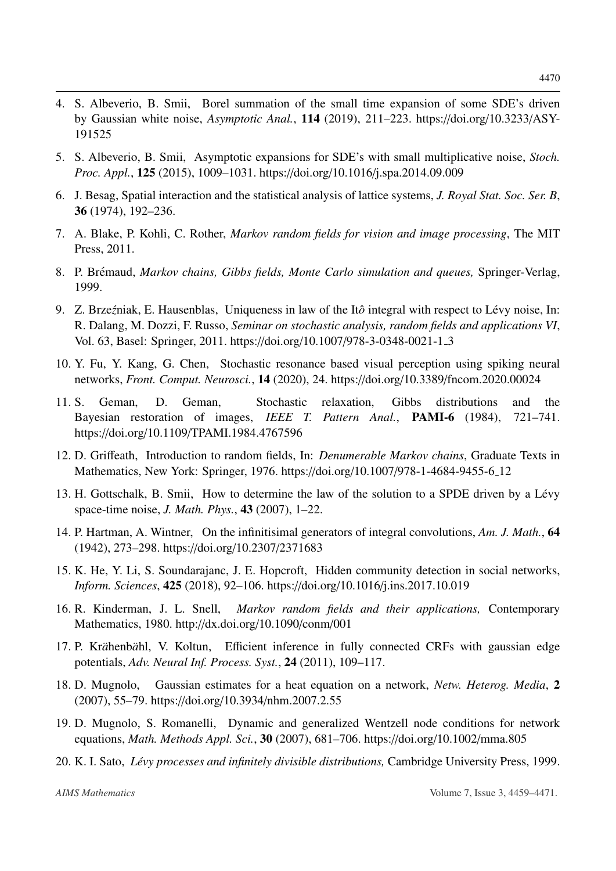- 4. S. Albeverio, B. Smii, Borel summation of the small time expansion of some SDE's driven by Gaussian white noise, *Asymptotic Anal.*, 114 (2019), 211–223. https://doi.org/[10.3233](http://dx.doi.org/https://doi.org/10.3233/ASY-191525)/ASY-[191525](http://dx.doi.org/https://doi.org/10.3233/ASY-191525)
- <span id="page-11-0"></span>5. S. Albeverio, B. Smii, Asymptotic expansions for SDE's with small multiplicative noise, *Stoch. Proc. Appl.*, 125 (2015), 1009–1031. https://doi.org/10.1016/[j.spa.2014.09.009](http://dx.doi.org/https://doi.org/10.1016/j.spa.2014.09.009)
- <span id="page-11-10"></span>6. J. Besag, Spatial interaction and the statistical analysis of lattice systems, *J. Royal Stat. Soc. Ser. B*, 36 (1974), 192–236.
- <span id="page-11-4"></span>7. A. Blake, P. Kohli, C. Rother, *Markov random fields for vision and image processing*, The MIT Press, 2011.
- <span id="page-11-8"></span>8. P. Brémaud, *Markov chains, Gibbs fields, Monte Carlo simulation and queues, Springer-Verlag,* 1999.
- <span id="page-11-5"></span>9. Z. Brzeźniak, E. Hausenblas, Uniqueness in law of the Itô integral with respect to Lévy noise, In: R. Dalang, M. Dozzi, F. Russo, *Seminar on stochastic analysis, random fields and applications VI*, Vol. 63, Basel: Springer, 2011. https://doi.org/10.1007/[978-3-0348-0021-1](http://dx.doi.org/https://doi.org/10.1007/978-3-0348-0021-1_3) 3
- <span id="page-11-1"></span>10. Y. Fu, Y. Kang, G. Chen, Stochastic resonance based visual perception using spiking neural networks, *Front. Comput. Neurosci.*, 14 (2020), 24. https://doi.org/10.3389/[fncom.2020.00024](http://dx.doi.org/https://doi.org/10.3389/fncom.2020.00024)
- <span id="page-11-12"></span>11. S. Geman, D. Geman, Stochastic relaxation, Gibbs distributions and the Bayesian restoration of images, *IEEE T. Pattern Anal.*, PAMI-6 (1984), 721–741. https://doi.org/10.1109/[TPAMI.1984.4767596](http://dx.doi.org/https://doi.org/10.1109/TPAMI.1984.4767596)
- <span id="page-11-9"></span>12. D. Griffeath, Introduction to random fields, In: *Denumerable Markov chains*, Graduate Texts in Mathematics, New York: Springer, 1976. https://doi.org/10.1007/[978-1-4684-9455-6](http://dx.doi.org/https://doi.org/10.1007/978-1-4684-9455-6_12) 12
- <span id="page-11-11"></span>13. H. Gottschalk, B. Smii, How to determine the law of the solution to a SPDE driven by a Lévy space-time noise, *J. Math. Phys.*, 43 (2007), 1–22.
- <span id="page-11-7"></span>14. P. Hartman, A. Wintner, On the infinitisimal generators of integral convolutions, *Am. J. Math.*, 64 (1942), 273–298. https://doi.org/10.2307/[2371683](http://dx.doi.org/https://doi.org/10.2307/2371683)
- <span id="page-11-15"></span>15. K. He, Y. Li, S. Soundarajanc, J. E. Hopcroft, Hidden community detection in social networks, *Inform. Sciences*, 425 (2018), 92–106. https://doi.org/10.1016/[j.ins.2017.10.019](http://dx.doi.org/https://doi.org/10.1016/j.ins.2017.10.019)
- <span id="page-11-13"></span>16. R. Kinderman, J. L. Snell, *Markov random fields and their applications,* Contemporary Mathematics, 1980. http://[dx.doi.org](http://dx.doi.org/http://dx.doi.org/10.1090/conm/001)/10.1090/conm/001
- <span id="page-11-14"></span>17. P. Krähenbähl, V. Koltun, Efficient inference in fully connected CRFs with gaussian edge potentials, *Adv. Neural Inf. Process. Syst.*, 24 (2011), 109–117.
- <span id="page-11-2"></span>18. D. Mugnolo, Gaussian estimates for a heat equation on a network, *Netw. Heterog. Media*, 2 (2007), 55–79. https://doi.org/10.3934/[nhm.2007.2.55](http://dx.doi.org/https://doi.org/10.3934/nhm.2007.2.55)
- <span id="page-11-3"></span>19. D. Mugnolo, S. Romanelli, Dynamic and generalized Wentzell node conditions for network equations, *Math. Methods Appl. Sci.*, 30 (2007), 681–706. https://doi.org/10.1002/[mma.805](http://dx.doi.org/https://doi.org/10.1002/mma.805)
- <span id="page-11-6"></span>20. K. I. Sato, *L´evy processes and infinitely divisible distributions,* Cambridge University Press, 1999.